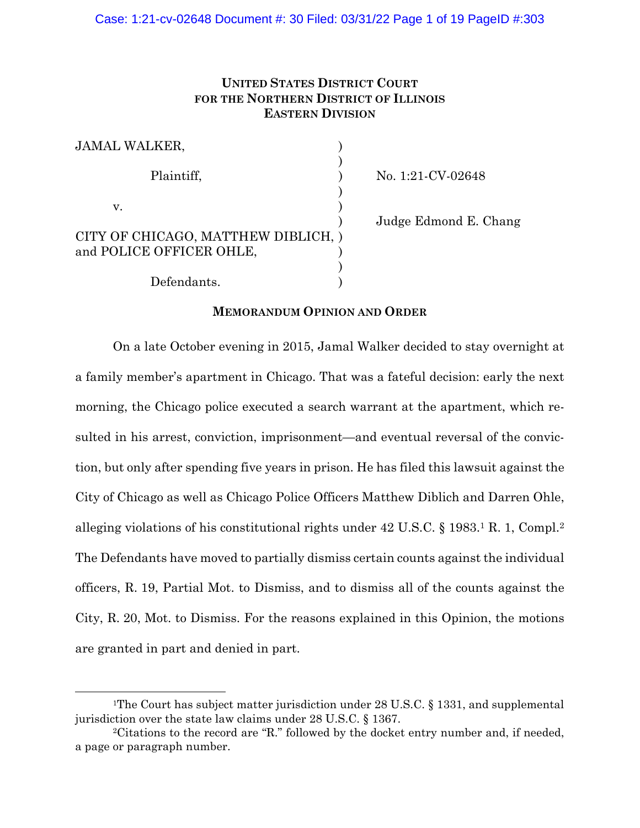# **UNITED STATES DISTRICT COURT FOR THE NORTHERN DISTRICT OF ILLINOIS EASTERN DIVISION**

| <b>JAMAL WALKER,</b>                |  |
|-------------------------------------|--|
|                                     |  |
| Plaintiff,                          |  |
| V.                                  |  |
|                                     |  |
| CITY OF CHICAGO, MATTHEW DIBLICH, ) |  |
| and POLICE OFFICER OHLE,            |  |
|                                     |  |
| Defendants.                         |  |

No. 1:21-CV-02648

) Judge Edmond E. Chang

## **MEMORANDUM OPINION AND ORDER**

 On a late October evening in 2015, Jamal Walker decided to stay overnight at a family member's apartment in Chicago. That was a fateful decision: early the next morning, the Chicago police executed a search warrant at the apartment, which resulted in his arrest, conviction, imprisonment—and eventual reversal of the conviction, but only after spending five years in prison. He has filed this lawsuit against the City of Chicago as well as Chicago Police Officers Matthew Diblich and Darren Ohle, alleging violations of his constitutional rights under 42 U.S.C. § 1983.1 R. 1, Compl.2 The Defendants have moved to partially dismiss certain counts against the individual officers, R. 19, Partial Mot. to Dismiss, and to dismiss all of the counts against the City, R. 20, Mot. to Dismiss. For the reasons explained in this Opinion, the motions are granted in part and denied in part.

<sup>&</sup>lt;sup>1</sup>The Court has subject matter jurisdiction under 28 U.S.C. § 1331, and supplemental jurisdiction over the state law claims under 28 U.S.C. § 1367.

<sup>2</sup>Citations to the record are "R." followed by the docket entry number and, if needed, a page or paragraph number.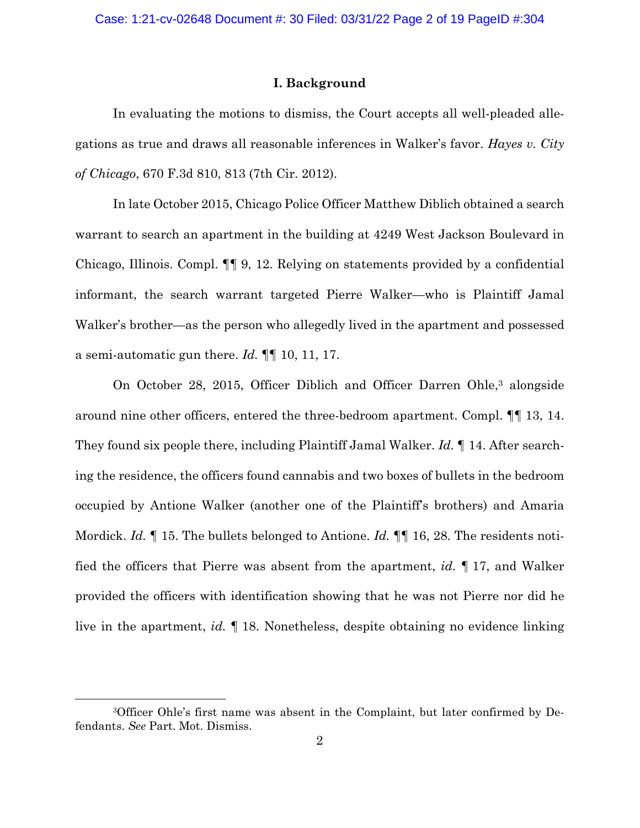### **I. Background**

In evaluating the motions to dismiss, the Court accepts all well-pleaded allegations as true and draws all reasonable inferences in Walker's favor. *Hayes v. City of Chicago*, 670 F.3d 810, 813 (7th Cir. 2012).

In late October 2015, Chicago Police Officer Matthew Diblich obtained a search warrant to search an apartment in the building at 4249 West Jackson Boulevard in Chicago, Illinois. Compl. ¶¶ 9, 12. Relying on statements provided by a confidential informant, the search warrant targeted Pierre Walker—who is Plaintiff Jamal Walker's brother—as the person who allegedly lived in the apartment and possessed a semi-automatic gun there. *Id.* ¶¶ 10, 11, 17.

On October 28, 2015, Officer Diblich and Officer Darren Ohle,<sup>3</sup> alongside around nine other officers, entered the three-bedroom apartment. Compl. ¶¶ 13, 14. They found six people there, including Plaintiff Jamal Walker. *Id.* ¶ 14. After searching the residence, the officers found cannabis and two boxes of bullets in the bedroom occupied by Antione Walker (another one of the Plaintiff's brothers) and Amaria Mordick. *Id.* ¶ 15. The bullets belonged to Antione. *Id.* ¶¶ 16, 28. The residents notified the officers that Pierre was absent from the apartment, *id.* ¶ 17, and Walker provided the officers with identification showing that he was not Pierre nor did he live in the apartment, *id.* ¶ 18. Nonetheless, despite obtaining no evidence linking

<sup>3</sup>Officer Ohle's first name was absent in the Complaint, but later confirmed by Defendants. *See* Part. Mot. Dismiss.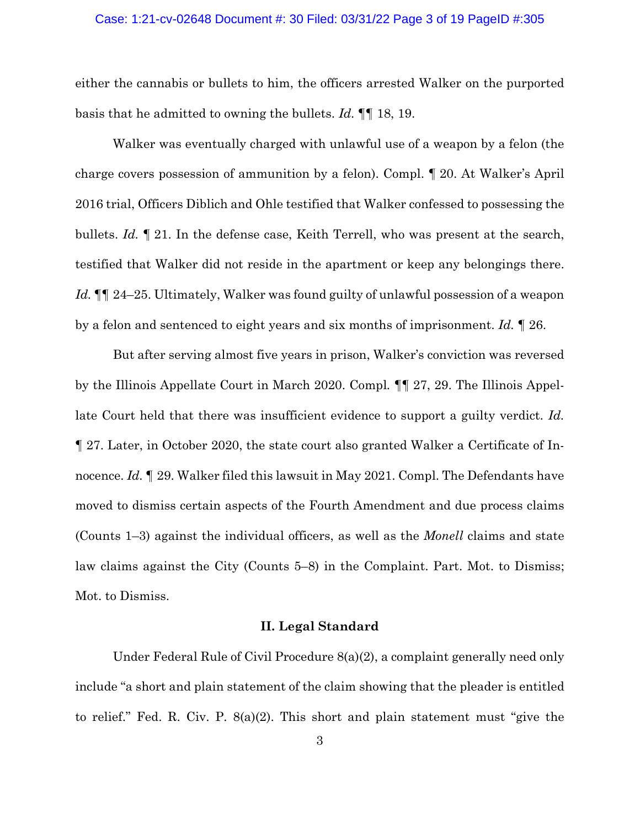#### Case: 1:21-cv-02648 Document #: 30 Filed: 03/31/22 Page 3 of 19 PageID #:305

either the cannabis or bullets to him, the officers arrested Walker on the purported basis that he admitted to owning the bullets. *Id.* ¶¶ 18, 19.

Walker was eventually charged with unlawful use of a weapon by a felon (the charge covers possession of ammunition by a felon). Compl. ¶ 20. At Walker's April 2016 trial, Officers Diblich and Ohle testified that Walker confessed to possessing the bullets. *Id.* ¶ 21. In the defense case, Keith Terrell, who was present at the search, testified that Walker did not reside in the apartment or keep any belongings there. *Id.* ¶¶ 24–25. Ultimately, Walker was found guilty of unlawful possession of a weapon by a felon and sentenced to eight years and six months of imprisonment. *Id.* ¶ 26.

But after serving almost five years in prison, Walker's conviction was reversed by the Illinois Appellate Court in March 2020. Compl*.* ¶¶ 27, 29. The Illinois Appellate Court held that there was insufficient evidence to support a guilty verdict. *Id.*  ¶ 27. Later, in October 2020, the state court also granted Walker a Certificate of Innocence. *Id.* I 29. Walker filed this lawsuit in May 2021. Compl. The Defendants have moved to dismiss certain aspects of the Fourth Amendment and due process claims (Counts 1–3) against the individual officers, as well as the *Monell* claims and state law claims against the City (Counts 5–8) in the Complaint. Part. Mot. to Dismiss; Mot. to Dismiss.

## **II. Legal Standard**

Under Federal Rule of Civil Procedure 8(a)(2), a complaint generally need only include "a short and plain statement of the claim showing that the pleader is entitled to relief." Fed. R. Civ. P. 8(a)(2). This short and plain statement must "give the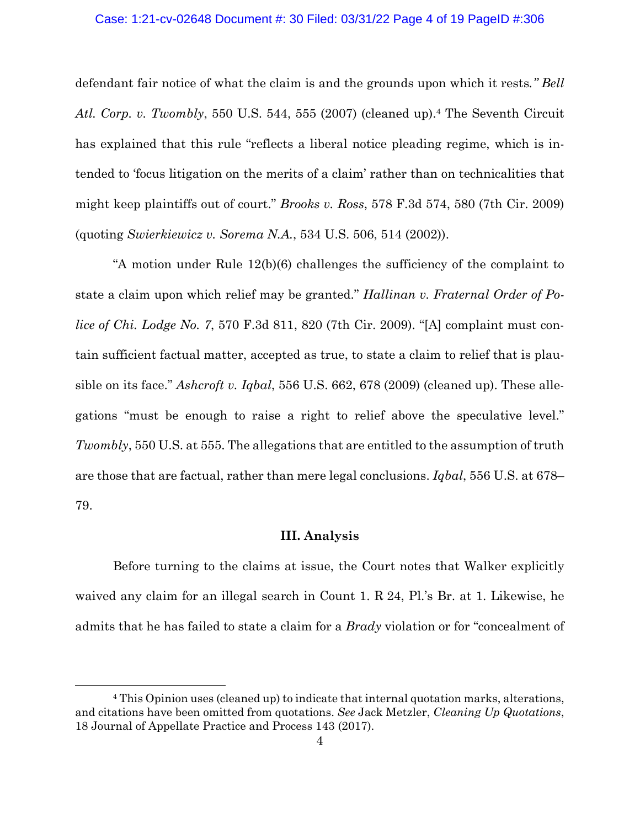## Case: 1:21-cv-02648 Document #: 30 Filed: 03/31/22 Page 4 of 19 PageID #:306

defendant fair notice of what the claim is and the grounds upon which it rests*." Bell Atl. Corp. v. Twombly*, 550 U.S. 544, 555 (2007) (cleaned up).4 The Seventh Circuit has explained that this rule "reflects a liberal notice pleading regime, which is intended to 'focus litigation on the merits of a claim' rather than on technicalities that might keep plaintiffs out of court." *Brooks v. Ross*, 578 F.3d 574, 580 (7th Cir. 2009) (quoting *Swierkiewicz v. Sorema N.A.*, 534 U.S. 506, 514 (2002)).

 "A motion under Rule 12(b)(6) challenges the sufficiency of the complaint to state a claim upon which relief may be granted." *Hallinan v. Fraternal Order of Police of Chi. Lodge No. 7*, 570 F.3d 811, 820 (7th Cir. 2009). "[A] complaint must contain sufficient factual matter, accepted as true, to state a claim to relief that is plausible on its face." *Ashcroft v. Iqbal*, 556 U.S. 662, 678 (2009) (cleaned up). These allegations "must be enough to raise a right to relief above the speculative level." *Twombly*, 550 U.S. at 555. The allegations that are entitled to the assumption of truth are those that are factual, rather than mere legal conclusions. *Iqbal*, 556 U.S. at 678– 79.

## **III. Analysis**

Before turning to the claims at issue, the Court notes that Walker explicitly waived any claim for an illegal search in Count 1. R 24, Pl.'s Br. at 1. Likewise, he admits that he has failed to state a claim for a *Brady* violation or for "concealment of

<sup>4</sup> This Opinion uses (cleaned up) to indicate that internal quotation marks, alterations, and citations have been omitted from quotations. *See* Jack Metzler, *Cleaning Up Quotations*, 18 Journal of Appellate Practice and Process 143 (2017).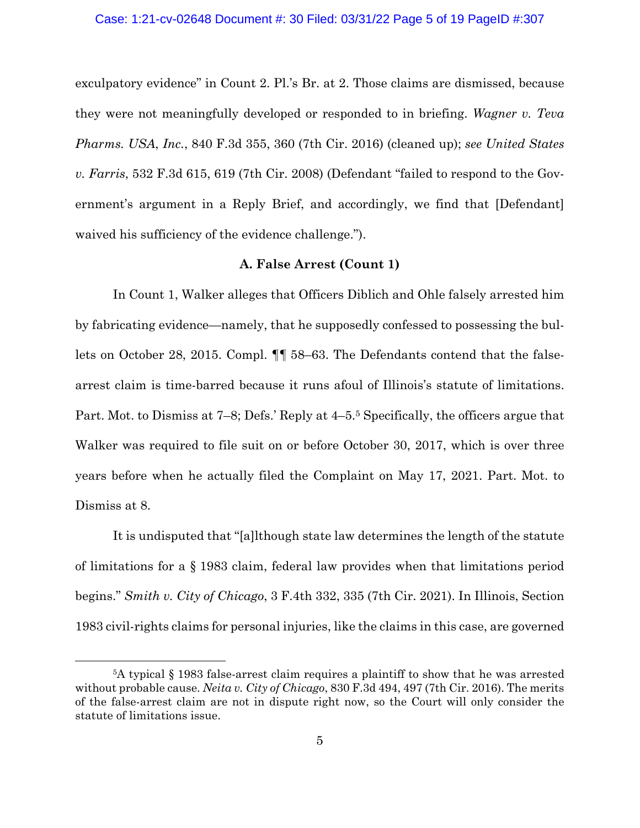exculpatory evidence" in Count 2. Pl.'s Br. at 2. Those claims are dismissed, because they were not meaningfully developed or responded to in briefing. *Wagner v. Teva Pharms. USA*, *Inc.*, 840 F.3d 355, 360 (7th Cir. 2016) (cleaned up); *see United States v. Farris*, 532 F.3d 615, 619 (7th Cir. 2008) (Defendant "failed to respond to the Government's argument in a Reply Brief, and accordingly, we find that [Defendant] waived his sufficiency of the evidence challenge.").

## **A. False Arrest (Count 1)**

In Count 1, Walker alleges that Officers Diblich and Ohle falsely arrested him by fabricating evidence—namely, that he supposedly confessed to possessing the bullets on October 28, 2015. Compl. ¶¶ 58–63. The Defendants contend that the falsearrest claim is time-barred because it runs afoul of Illinois's statute of limitations. Part. Mot. to Dismiss at 7–8; Defs.' Reply at 4–5.5 Specifically, the officers argue that Walker was required to file suit on or before October 30, 2017, which is over three years before when he actually filed the Complaint on May 17, 2021. Part. Mot. to Dismiss at 8.

It is undisputed that "[a]lthough state law determines the length of the statute of limitations for a § 1983 claim, federal law provides when that limitations period begins." *Smith v. City of Chicago*, 3 F.4th 332, 335 (7th Cir. 2021). In Illinois, Section 1983 civil-rights claims for personal injuries, like the claims in this case, are governed

<sup>5</sup>A typical § 1983 false-arrest claim requires a plaintiff to show that he was arrested without probable cause. *Neita v. City of Chicago*, 830 F.3d 494, 497 (7th Cir. 2016). The merits of the false-arrest claim are not in dispute right now, so the Court will only consider the statute of limitations issue.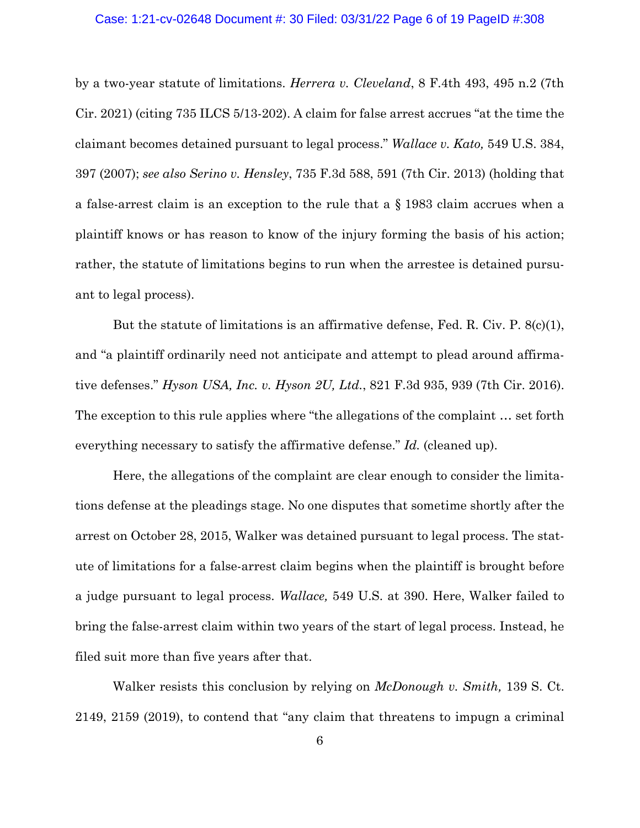## Case: 1:21-cv-02648 Document #: 30 Filed: 03/31/22 Page 6 of 19 PageID #:308

by a two-year statute of limitations. *Herrera v. Cleveland*, 8 F.4th 493, 495 n.2 (7th Cir. 2021) (citing 735 ILCS 5/13-202). A claim for false arrest accrues "at the time the claimant becomes detained pursuant to legal process." *Wallace v. Kato,* 549 U.S. 384, 397 (2007); *see also Serino v. Hensley*, 735 F.3d 588, 591 (7th Cir. 2013) (holding that a false-arrest claim is an exception to the rule that a § 1983 claim accrues when a plaintiff knows or has reason to know of the injury forming the basis of his action; rather, the statute of limitations begins to run when the arrestee is detained pursuant to legal process).

But the statute of limitations is an affirmative defense, Fed. R. Civ. P. 8(c)(1), and "a plaintiff ordinarily need not anticipate and attempt to plead around affirmative defenses." *Hyson USA, Inc. v. Hyson 2U, Ltd.*, 821 F.3d 935, 939 (7th Cir. 2016). The exception to this rule applies where "the allegations of the complaint … set forth everything necessary to satisfy the affirmative defense." *Id.* (cleaned up).

Here, the allegations of the complaint are clear enough to consider the limitations defense at the pleadings stage. No one disputes that sometime shortly after the arrest on October 28, 2015, Walker was detained pursuant to legal process. The statute of limitations for a false-arrest claim begins when the plaintiff is brought before a judge pursuant to legal process. *Wallace,* 549 U.S. at 390. Here, Walker failed to bring the false-arrest claim within two years of the start of legal process. Instead, he filed suit more than five years after that.

Walker resists this conclusion by relying on *McDonough v. Smith,* 139 S. Ct. 2149, 2159 (2019), to contend that "any claim that threatens to impugn a criminal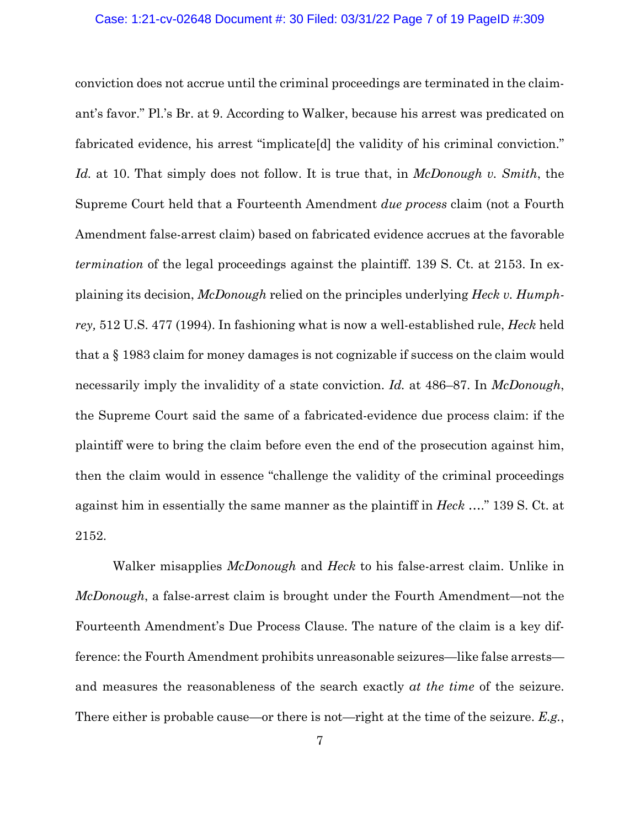## Case: 1:21-cv-02648 Document #: 30 Filed: 03/31/22 Page 7 of 19 PageID #:309

conviction does not accrue until the criminal proceedings are terminated in the claimant's favor." Pl.'s Br. at 9. According to Walker, because his arrest was predicated on fabricated evidence, his arrest "implicate[d] the validity of his criminal conviction." *Id.* at 10. That simply does not follow. It is true that, in *McDonough v. Smith*, the Supreme Court held that a Fourteenth Amendment *due process* claim (not a Fourth Amendment false-arrest claim) based on fabricated evidence accrues at the favorable *termination* of the legal proceedings against the plaintiff. 139 S. Ct. at 2153. In explaining its decision, *McDonough* relied on the principles underlying *Heck v. Humphrey,* 512 U.S. 477 (1994). In fashioning what is now a well-established rule, *Heck* held that a § 1983 claim for money damages is not cognizable if success on the claim would necessarily imply the invalidity of a state conviction. *Id.* at 486–87. In *McDonough*, the Supreme Court said the same of a fabricated-evidence due process claim: if the plaintiff were to bring the claim before even the end of the prosecution against him, then the claim would in essence "challenge the validity of the criminal proceedings against him in essentially the same manner as the plaintiff in *Heck* …." 139 S. Ct. at 2152.

Walker misapplies *McDonough* and *Heck* to his false-arrest claim. Unlike in *McDonough*, a false-arrest claim is brought under the Fourth Amendment—not the Fourteenth Amendment's Due Process Clause. The nature of the claim is a key difference: the Fourth Amendment prohibits unreasonable seizures—like false arrests and measures the reasonableness of the search exactly *at the time* of the seizure. There either is probable cause—or there is not—right at the time of the seizure. *E.g.*,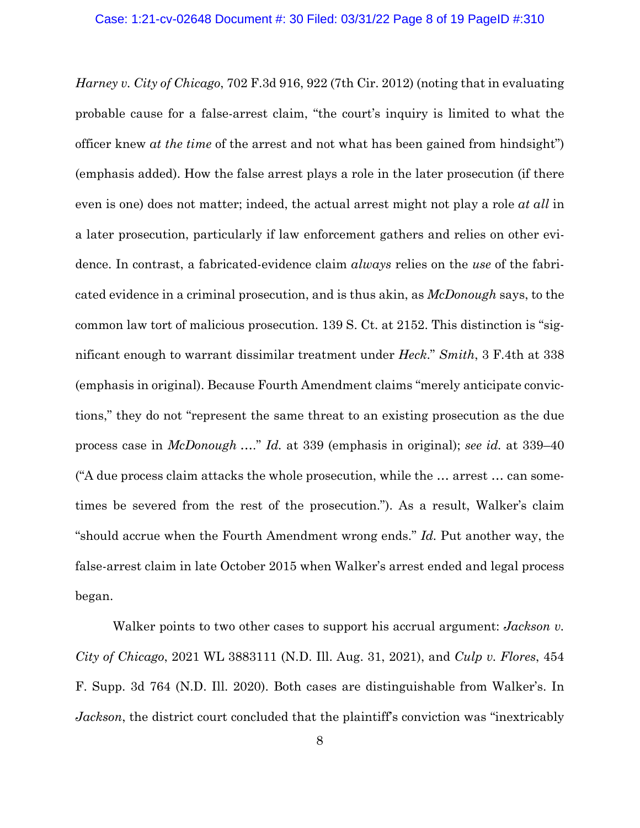*Harney v. City of Chicago*, 702 F.3d 916, 922 (7th Cir. 2012) (noting that in evaluating probable cause for a false-arrest claim, "the court's inquiry is limited to what the officer knew *at the time* of the arrest and not what has been gained from hindsight") (emphasis added). How the false arrest plays a role in the later prosecution (if there even is one) does not matter; indeed, the actual arrest might not play a role *at all* in a later prosecution, particularly if law enforcement gathers and relies on other evidence. In contrast, a fabricated-evidence claim *always* relies on the *use* of the fabricated evidence in a criminal prosecution, and is thus akin, as *McDonough* says, to the common law tort of malicious prosecution. 139 S. Ct. at 2152. This distinction is "significant enough to warrant dissimilar treatment under *Heck*." *Smith*, 3 F.4th at 338 (emphasis in original). Because Fourth Amendment claims "merely anticipate convictions," they do not "represent the same threat to an existing prosecution as the due process case in *McDonough* …." *Id.* at 339 (emphasis in original); *see id.* at 339–40 ("A due process claim attacks the whole prosecution, while the … arrest … can sometimes be severed from the rest of the prosecution."). As a result, Walker's claim "should accrue when the Fourth Amendment wrong ends." *Id.* Put another way, the false-arrest claim in late October 2015 when Walker's arrest ended and legal process began.

Walker points to two other cases to support his accrual argument: *Jackson v. City of Chicago*, 2021 WL 3883111 (N.D. Ill. Aug. 31, 2021), and *Culp v. Flores*, 454 F. Supp. 3d 764 (N.D. Ill. 2020). Both cases are distinguishable from Walker's. In *Jackson*, the district court concluded that the plaintiff's conviction was "inextricably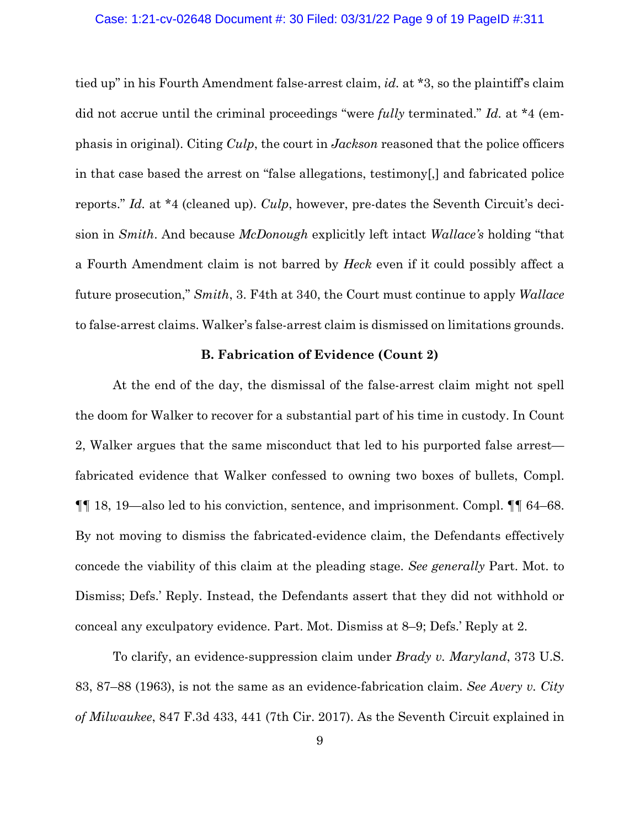#### Case: 1:21-cv-02648 Document #: 30 Filed: 03/31/22 Page 9 of 19 PageID #:311

tied up" in his Fourth Amendment false-arrest claim, *id.* at \*3, so the plaintiff's claim did not accrue until the criminal proceedings "were *fully* terminated." *Id.* at \*4 (emphasis in original). Citing *Culp*, the court in *Jackson* reasoned that the police officers in that case based the arrest on "false allegations, testimony[,] and fabricated police reports." *Id.* at \*4 (cleaned up). *Culp*, however, pre-dates the Seventh Circuit's decision in *Smith*. And because *McDonough* explicitly left intact *Wallace's* holding "that a Fourth Amendment claim is not barred by *Heck* even if it could possibly affect a future prosecution," *Smith*, 3. F4th at 340, the Court must continue to apply *Wallace* to false-arrest claims. Walker's false-arrest claim is dismissed on limitations grounds.

#### **B. Fabrication of Evidence (Count 2)**

At the end of the day, the dismissal of the false-arrest claim might not spell the doom for Walker to recover for a substantial part of his time in custody. In Count 2, Walker argues that the same misconduct that led to his purported false arrest fabricated evidence that Walker confessed to owning two boxes of bullets, Compl. ¶¶ 18, 19—also led to his conviction, sentence, and imprisonment. Compl. ¶¶ 64–68. By not moving to dismiss the fabricated-evidence claim, the Defendants effectively concede the viability of this claim at the pleading stage. *See generally* Part. Mot. to Dismiss; Defs.' Reply. Instead, the Defendants assert that they did not withhold or conceal any exculpatory evidence. Part. Mot. Dismiss at 8–9; Defs.' Reply at 2.

 To clarify, an evidence-suppression claim under *Brady v. Maryland*, 373 U.S. 83, 87–88 (1963), is not the same as an evidence-fabrication claim. *See Avery v. City of Milwaukee*, 847 F.3d 433, 441 (7th Cir. 2017). As the Seventh Circuit explained in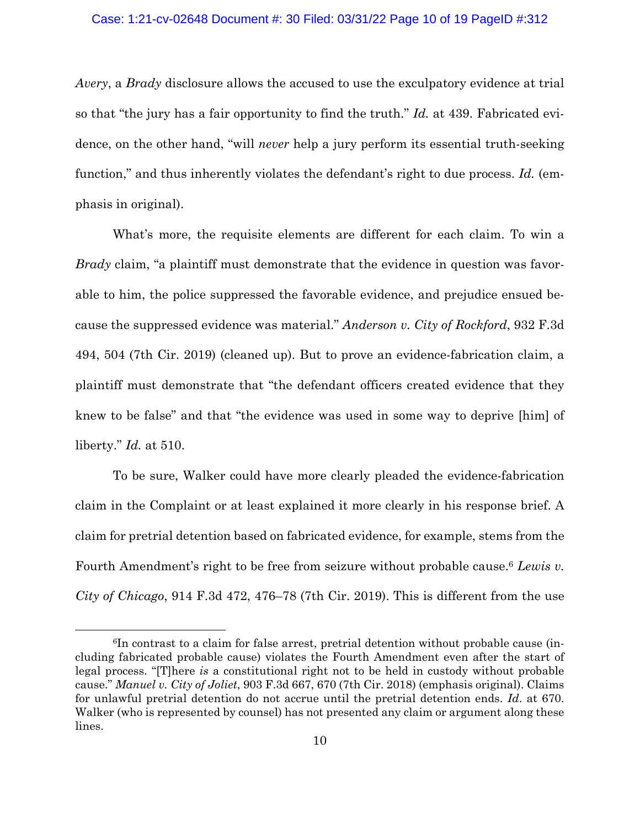#### Case: 1:21-cv-02648 Document #: 30 Filed: 03/31/22 Page 10 of 19 PageID #:312

*Avery*, a *Brady* disclosure allows the accused to use the exculpatory evidence at trial so that "the jury has a fair opportunity to find the truth." *Id.* at 439. Fabricated evidence, on the other hand, "will *never* help a jury perform its essential truth-seeking function," and thus inherently violates the defendant's right to due process. *Id.* (emphasis in original).

What's more, the requisite elements are different for each claim. To win a *Brady* claim, "a plaintiff must demonstrate that the evidence in question was favorable to him, the police suppressed the favorable evidence, and prejudice ensued because the suppressed evidence was material." *Anderson v. City of Rockford*, 932 F.3d 494, 504 (7th Cir. 2019) (cleaned up). But to prove an evidence-fabrication claim, a plaintiff must demonstrate that "the defendant officers created evidence that they knew to be false" and that "the evidence was used in some way to deprive [him] of liberty." *Id.* at 510.

To be sure, Walker could have more clearly pleaded the evidence-fabrication claim in the Complaint or at least explained it more clearly in his response brief. A claim for pretrial detention based on fabricated evidence, for example, stems from the Fourth Amendment's right to be free from seizure without probable cause.6 *Lewis v. City of Chicago*, 914 F.3d 472, 476–78 (7th Cir. 2019). This is different from the use

<sup>6</sup>In contrast to a claim for false arrest, pretrial detention without probable cause (including fabricated probable cause) violates the Fourth Amendment even after the start of legal process. "[T]here *is* a constitutional right not to be held in custody without probable cause." *Manuel v. City of Joliet*, 903 F.3d 667, 670 (7th Cir. 2018) (emphasis original). Claims for unlawful pretrial detention do not accrue until the pretrial detention ends. *Id*. at 670. Walker (who is represented by counsel) has not presented any claim or argument along these lines.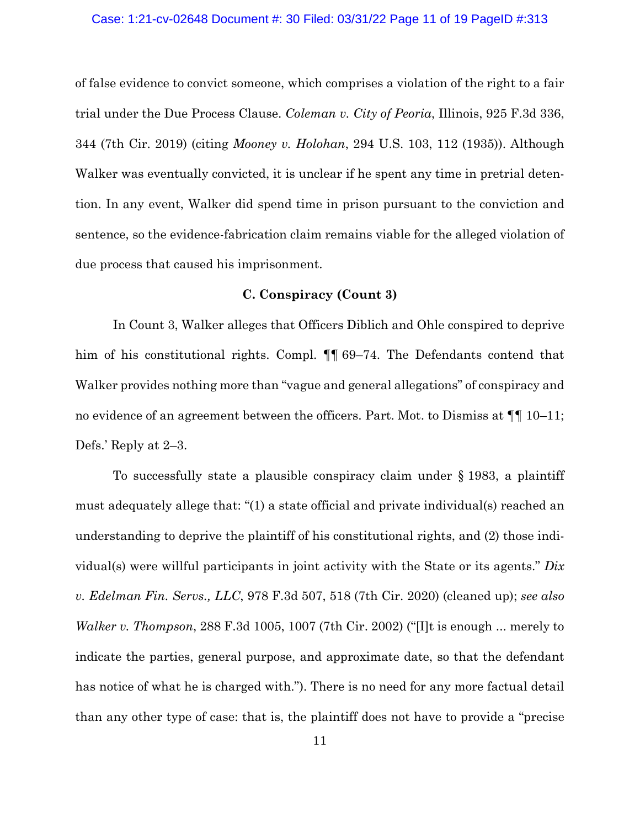#### Case: 1:21-cv-02648 Document #: 30 Filed: 03/31/22 Page 11 of 19 PageID #:313

of false evidence to convict someone, which comprises a violation of the right to a fair trial under the Due Process Clause. *Coleman v. City of Peoria*, Illinois, 925 F.3d 336, 344 (7th Cir. 2019) (citing *Mooney v. Holohan*, 294 U.S. 103, 112 (1935)). Although Walker was eventually convicted, it is unclear if he spent any time in pretrial detention. In any event, Walker did spend time in prison pursuant to the conviction and sentence, so the evidence-fabrication claim remains viable for the alleged violation of due process that caused his imprisonment.

## **C. Conspiracy (Count 3)**

In Count 3, Walker alleges that Officers Diblich and Ohle conspired to deprive him of his constitutional rights. Compl.  $\P$  69–74. The Defendants contend that Walker provides nothing more than "vague and general allegations" of conspiracy and no evidence of an agreement between the officers. Part. Mot. to Dismiss at ¶¶ 10–11; Defs.' Reply at 2–3.

To successfully state a plausible conspiracy claim under § 1983, a plaintiff must adequately allege that: "(1) a state official and private individual(s) reached an understanding to deprive the plaintiff of his constitutional rights, and (2) those individual(s) were willful participants in joint activity with the State or its agents." *Dix v. Edelman Fin. Servs., LLC*, 978 F.3d 507, 518 (7th Cir. 2020) (cleaned up); *see also Walker v. Thompson*, 288 F.3d 1005, 1007 (7th Cir. 2002) ("[I]t is enough ... merely to indicate the parties, general purpose, and approximate date, so that the defendant has notice of what he is charged with."). There is no need for any more factual detail than any other type of case: that is, the plaintiff does not have to provide a "precise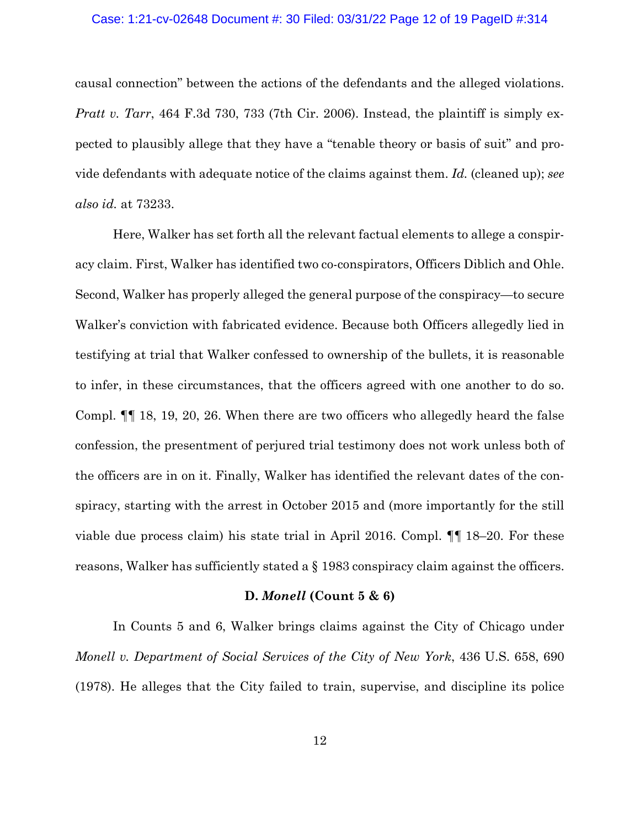#### Case: 1:21-cv-02648 Document #: 30 Filed: 03/31/22 Page 12 of 19 PageID #:314

causal connection" between the actions of the defendants and the alleged violations. *Pratt v. Tarr*, 464 F.3d 730, 733 (7th Cir. 2006). Instead, the plaintiff is simply expected to plausibly allege that they have a "tenable theory or basis of suit" and provide defendants with adequate notice of the claims against them. *Id.* (cleaned up); *see also id.* at 73233.

Here, Walker has set forth all the relevant factual elements to allege a conspiracy claim. First, Walker has identified two co-conspirators, Officers Diblich and Ohle. Second, Walker has properly alleged the general purpose of the conspiracy—to secure Walker's conviction with fabricated evidence. Because both Officers allegedly lied in testifying at trial that Walker confessed to ownership of the bullets, it is reasonable to infer, in these circumstances, that the officers agreed with one another to do so. Compl. ¶¶ 18, 19, 20, 26. When there are two officers who allegedly heard the false confession, the presentment of perjured trial testimony does not work unless both of the officers are in on it. Finally, Walker has identified the relevant dates of the conspiracy, starting with the arrest in October 2015 and (more importantly for the still viable due process claim) his state trial in April 2016. Compl. ¶¶ 18–20. For these reasons, Walker has sufficiently stated a § 1983 conspiracy claim against the officers.

#### **D.** *Monell* **(Count 5 & 6)**

In Counts 5 and 6, Walker brings claims against the City of Chicago under *Monell v. Department of Social Services of the City of New York*, 436 U.S. 658, 690 (1978). He alleges that the City failed to train, supervise, and discipline its police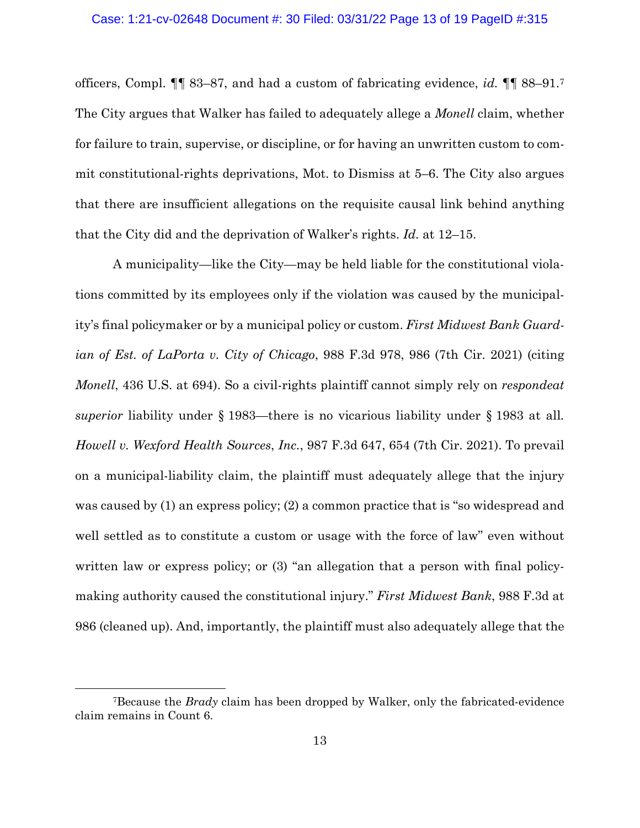officers, Compl. ¶¶ 83–87, and had a custom of fabricating evidence, *id.* ¶¶ 88–91.7 The City argues that Walker has failed to adequately allege a *Monell* claim, whether for failure to train, supervise, or discipline, or for having an unwritten custom to commit constitutional-rights deprivations, Mot. to Dismiss at 5–6. The City also argues that there are insufficient allegations on the requisite causal link behind anything that the City did and the deprivation of Walker's rights. *Id.* at 12–15.

A municipality—like the City—may be held liable for the constitutional violations committed by its employees only if the violation was caused by the municipality's final policymaker or by a municipal policy or custom. *First Midwest Bank Guardian of Est. of LaPorta v. City of Chicago*, 988 F.3d 978, 986 (7th Cir. 2021) (citing *Monell*, 436 U.S. at 694). So a civil-rights plaintiff cannot simply rely on *respondeat superior* liability under § 1983—there is no vicarious liability under § 1983 at all*. Howell v. Wexford Health Sources*, *Inc.*, 987 F.3d 647, 654 (7th Cir. 2021). To prevail on a municipal-liability claim, the plaintiff must adequately allege that the injury was caused by (1) an express policy; (2) a common practice that is "so widespread and well settled as to constitute a custom or usage with the force of law" even without written law or express policy; or  $(3)$  "an allegation that a person with final policymaking authority caused the constitutional injury." *First Midwest Bank*, 988 F.3d at 986 (cleaned up). And, importantly, the plaintiff must also adequately allege that the

<sup>7</sup>Because the *Brady* claim has been dropped by Walker, only the fabricated-evidence claim remains in Count 6.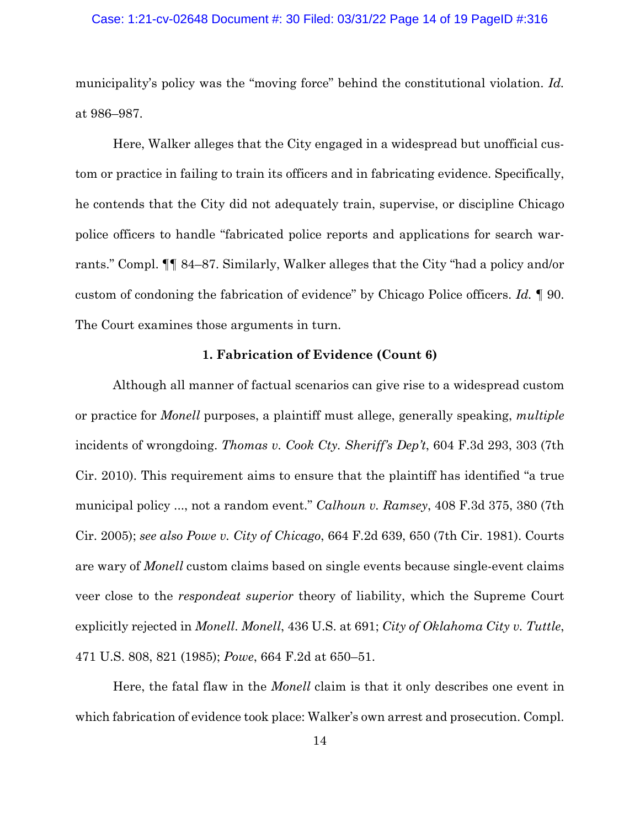#### Case: 1:21-cv-02648 Document #: 30 Filed: 03/31/22 Page 14 of 19 PageID #:316

municipality's policy was the "moving force" behind the constitutional violation. *Id.* at 986–987.

Here, Walker alleges that the City engaged in a widespread but unofficial custom or practice in failing to train its officers and in fabricating evidence. Specifically, he contends that the City did not adequately train, supervise, or discipline Chicago police officers to handle "fabricated police reports and applications for search warrants." Compl. ¶¶ 84–87. Similarly, Walker alleges that the City "had a policy and/or custom of condoning the fabrication of evidence" by Chicago Police officers. *Id.* ¶ 90. The Court examines those arguments in turn.

#### **1. Fabrication of Evidence (Count 6)**

Although all manner of factual scenarios can give rise to a widespread custom or practice for *Monell* purposes, a plaintiff must allege, generally speaking, *multiple* incidents of wrongdoing. *Thomas v. Cook Cty. Sheriff's Dep't*, 604 F.3d 293, 303 (7th Cir. 2010). This requirement aims to ensure that the plaintiff has identified "a true municipal policy ..., not a random event." *Calhoun v. Ramsey*, 408 F.3d 375, 380 (7th Cir. 2005); *see also Powe v. City of Chicago*, 664 F.2d 639, 650 (7th Cir. 1981). Courts are wary of *Monell* custom claims based on single events because single-event claims veer close to the *respondeat superior* theory of liability, which the Supreme Court explicitly rejected in *Monell*. *Monell*, 436 U.S. at 691; *City of Oklahoma City v. Tuttle*, 471 U.S. 808, 821 (1985); *Powe*, 664 F.2d at 650–51.

 Here, the fatal flaw in the *Monell* claim is that it only describes one event in which fabrication of evidence took place: Walker's own arrest and prosecution. Compl.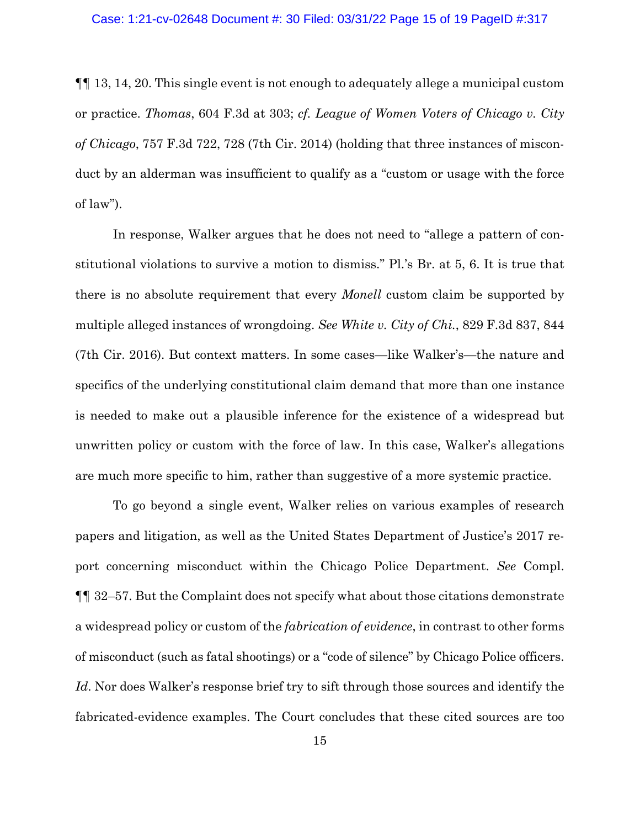¶¶ 13, 14, 20. This single event is not enough to adequately allege a municipal custom or practice. *Thomas*, 604 F.3d at 303; *cf. League of Women Voters of Chicago v. City of Chicago*, 757 F.3d 722, 728 (7th Cir. 2014) (holding that three instances of misconduct by an alderman was insufficient to qualify as a "custom or usage with the force of law").

In response, Walker argues that he does not need to "allege a pattern of constitutional violations to survive a motion to dismiss." Pl.'s Br. at 5, 6. It is true that there is no absolute requirement that every *Monell* custom claim be supported by multiple alleged instances of wrongdoing. *See White v. City of Chi.*, 829 F.3d 837, 844 (7th Cir. 2016). But context matters. In some cases—like Walker's—the nature and specifics of the underlying constitutional claim demand that more than one instance is needed to make out a plausible inference for the existence of a widespread but unwritten policy or custom with the force of law. In this case, Walker's allegations are much more specific to him, rather than suggestive of a more systemic practice.

To go beyond a single event, Walker relies on various examples of research papers and litigation, as well as the United States Department of Justice's 2017 report concerning misconduct within the Chicago Police Department. *See* Compl. ¶¶ 32–57. But the Complaint does not specify what about those citations demonstrate a widespread policy or custom of the *fabrication of evidence*, in contrast to other forms of misconduct (such as fatal shootings) or a "code of silence" by Chicago Police officers. *Id*. Nor does Walker's response brief try to sift through those sources and identify the fabricated-evidence examples. The Court concludes that these cited sources are too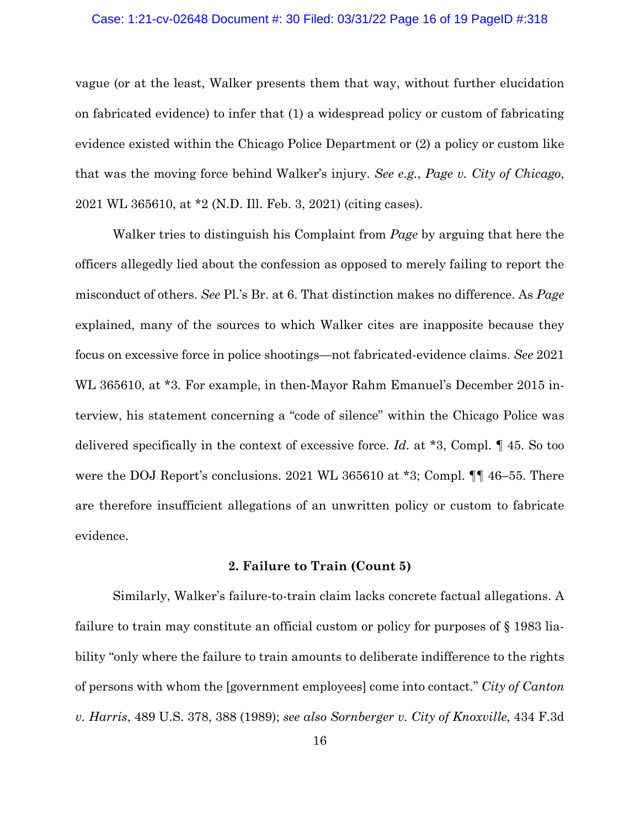#### Case: 1:21-cv-02648 Document #: 30 Filed: 03/31/22 Page 16 of 19 PageID #:318

vague (or at the least, Walker presents them that way, without further elucidation on fabricated evidence) to infer that (1) a widespread policy or custom of fabricating evidence existed within the Chicago Police Department or (2) a policy or custom like that was the moving force behind Walker's injury. *See e.g.*, *Page v. City of Chicago*, 2021 WL 365610, at \*2 (N.D. Ill. Feb. 3, 2021) (citing cases).

Walker tries to distinguish his Complaint from *Page* by arguing that here the officers allegedly lied about the confession as opposed to merely failing to report the misconduct of others. *See* Pl.'s Br. at 6. That distinction makes no difference. As *Page*  explained, many of the sources to which Walker cites are inapposite because they focus on excessive force in police shootings—not fabricated-evidence claims. *See* 2021 WL 365610, at \*3. For example, in then-Mayor Rahm Emanuel's December 2015 interview, his statement concerning a "code of silence" within the Chicago Police was delivered specifically in the context of excessive force. *Id.* at \*3, Compl. ¶ 45. So too were the DOJ Report's conclusions. 2021 WL 365610 at \*3; Compl.  $\P\P$  46–55. There are therefore insufficient allegations of an unwritten policy or custom to fabricate evidence.

### **2. Failure to Train (Count 5)**

Similarly, Walker's failure-to-train claim lacks concrete factual allegations. A failure to train may constitute an official custom or policy for purposes of § 1983 liability "only where the failure to train amounts to deliberate indifference to the rights of persons with whom the [government employees] come into contact." *City of Canton v. Harris*, 489 U.S. 378, 388 (1989); *see also Sornberger v. City of Knoxville*, 434 F.3d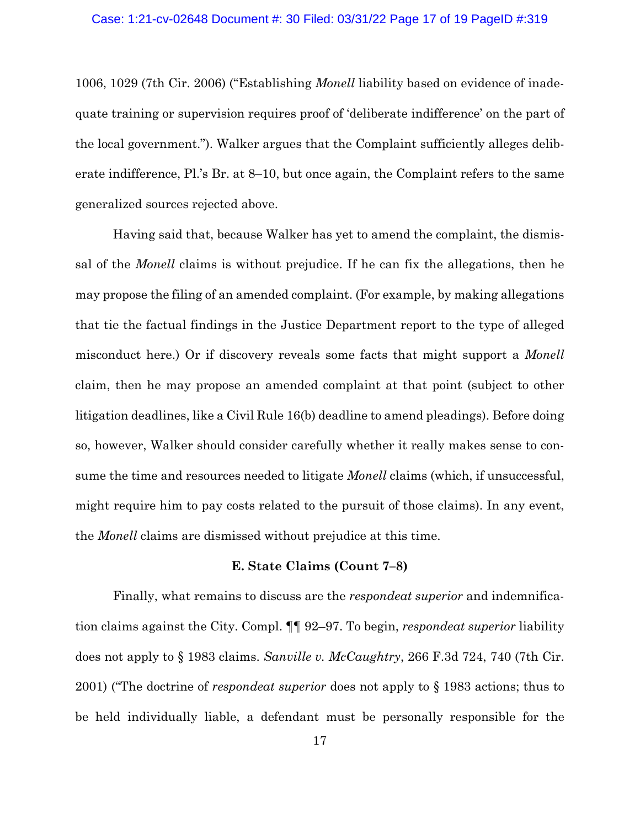1006, 1029 (7th Cir. 2006) ("Establishing *Monell* liability based on evidence of inadequate training or supervision requires proof of 'deliberate indifference' on the part of the local government."). Walker argues that the Complaint sufficiently alleges deliberate indifference, Pl.'s Br. at 8–10, but once again, the Complaint refers to the same generalized sources rejected above.

Having said that, because Walker has yet to amend the complaint, the dismissal of the *Monell* claims is without prejudice. If he can fix the allegations, then he may propose the filing of an amended complaint. (For example, by making allegations that tie the factual findings in the Justice Department report to the type of alleged misconduct here.) Or if discovery reveals some facts that might support a *Monell* claim, then he may propose an amended complaint at that point (subject to other litigation deadlines, like a Civil Rule 16(b) deadline to amend pleadings). Before doing so, however, Walker should consider carefully whether it really makes sense to consume the time and resources needed to litigate *Monell* claims (which, if unsuccessful, might require him to pay costs related to the pursuit of those claims). In any event, the *Monell* claims are dismissed without prejudice at this time.

#### **E. State Claims (Count 7–8)**

Finally, what remains to discuss are the *respondeat superior* and indemnification claims against the City. Compl. ¶¶ 92–97. To begin, *respondeat superior* liability does not apply to § 1983 claims. *Sanville v. McCaughtry*, 266 F.3d 724, 740 (7th Cir. 2001) ("The doctrine of *respondeat superior* does not apply to § 1983 actions; thus to be held individually liable, a defendant must be personally responsible for the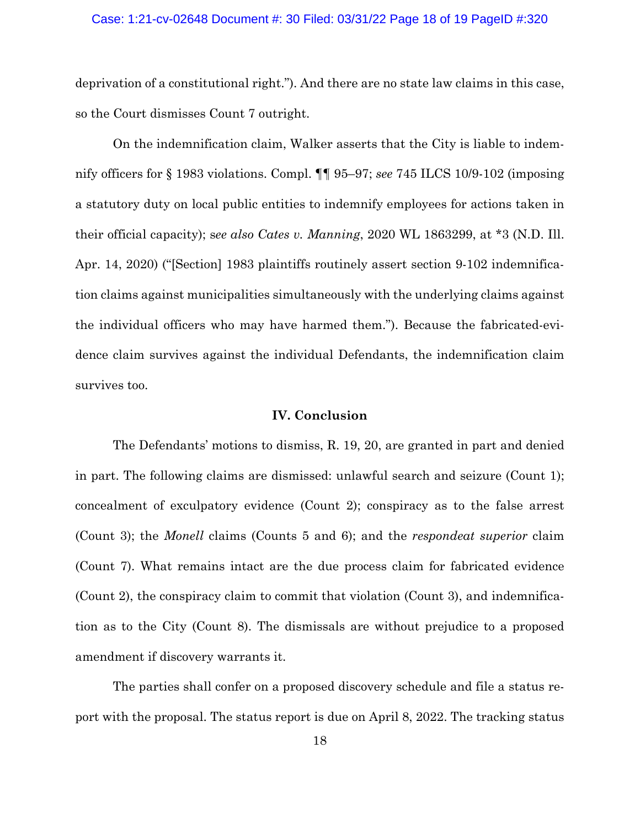#### Case: 1:21-cv-02648 Document #: 30 Filed: 03/31/22 Page 18 of 19 PageID #:320

deprivation of a constitutional right."). And there are no state law claims in this case, so the Court dismisses Count 7 outright.

On the indemnification claim, Walker asserts that the City is liable to indemnify officers for § 1983 violations. Compl. ¶¶ 95–97; *see* 745 ILCS 10/9-102 (imposing a statutory duty on local public entities to indemnify employees for actions taken in their official capacity); s*ee also Cates v. Manning*, 2020 WL 1863299, at \*3 (N.D. Ill. Apr. 14, 2020) ("[Section] 1983 plaintiffs routinely assert section 9-102 indemnification claims against municipalities simultaneously with the underlying claims against the individual officers who may have harmed them."). Because the fabricated-evidence claim survives against the individual Defendants, the indemnification claim survives too.

### **IV. Conclusion**

The Defendants' motions to dismiss, R. 19, 20, are granted in part and denied in part. The following claims are dismissed: unlawful search and seizure (Count 1); concealment of exculpatory evidence (Count 2); conspiracy as to the false arrest (Count 3); the *Monell* claims (Counts 5 and 6); and the *respondeat superior* claim (Count 7). What remains intact are the due process claim for fabricated evidence (Count 2), the conspiracy claim to commit that violation (Count 3), and indemnification as to the City (Count 8). The dismissals are without prejudice to a proposed amendment if discovery warrants it.

 The parties shall confer on a proposed discovery schedule and file a status report with the proposal. The status report is due on April 8, 2022. The tracking status